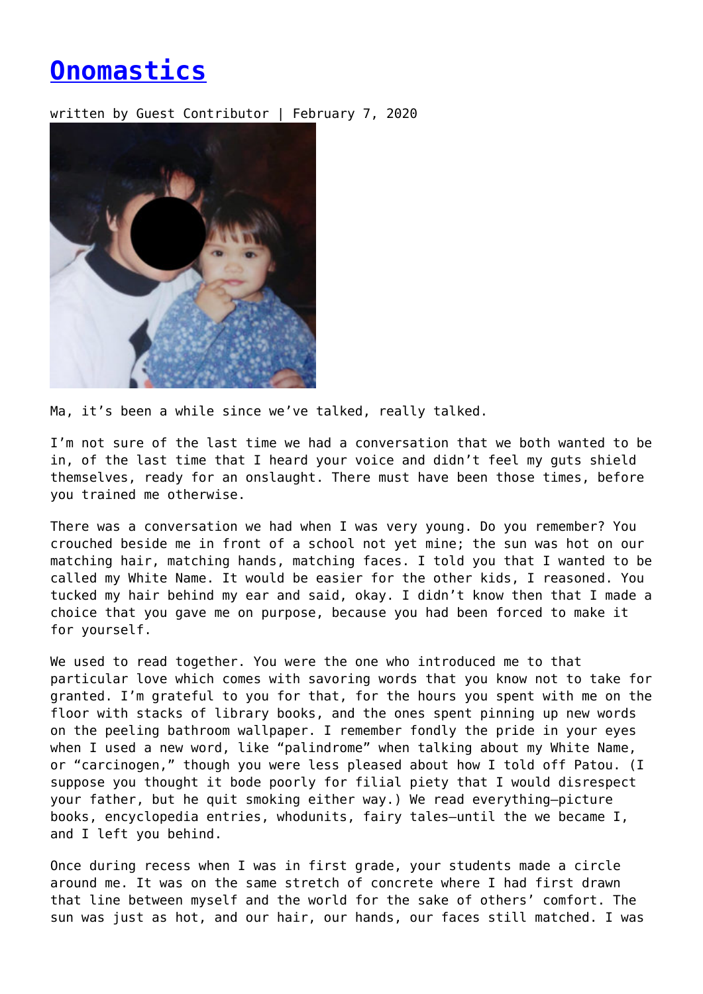## **[Onomastics](https://entropymag.org/onomastics/)**

written by Guest Contributor | February 7, 2020



Ma, it's been a while since we've talked, really talked.

I'm not sure of the last time we had a conversation that we both wanted to be in, of the last time that I heard your voice and didn't feel my guts shield themselves, ready for an onslaught. There must have been those times, before you trained me otherwise.

There was a conversation we had when I was very young. Do you remember? You crouched beside me in front of a school not yet mine; the sun was hot on our matching hair, matching hands, matching faces. I told you that I wanted to be called my White Name. It would be easier for the other kids, I reasoned. You tucked my hair behind my ear and said, okay. I didn't know then that I made a choice that you gave me on purpose, because you had been forced to make it for yourself.

We used to read together. You were the one who introduced me to that particular love which comes with savoring words that you know not to take for granted. I'm grateful to you for that, for the hours you spent with me on the floor with stacks of library books, and the ones spent pinning up new words on the peeling bathroom wallpaper. I remember fondly the pride in your eyes when I used a new word, like "palindrome" when talking about my White Name, or "carcinogen," though you were less pleased about how I told off Patou. (I suppose you thought it bode poorly for filial piety that I would disrespect your father, but he quit smoking either way.) We read everything—picture books, encyclopedia entries, whodunits, fairy tales—until the we became I, and I left you behind.

Once during recess when I was in first grade, your students made a circle around me. It was on the same stretch of concrete where I had first drawn that line between myself and the world for the sake of others' comfort. The sun was just as hot, and our hair, our hands, our faces still matched. I was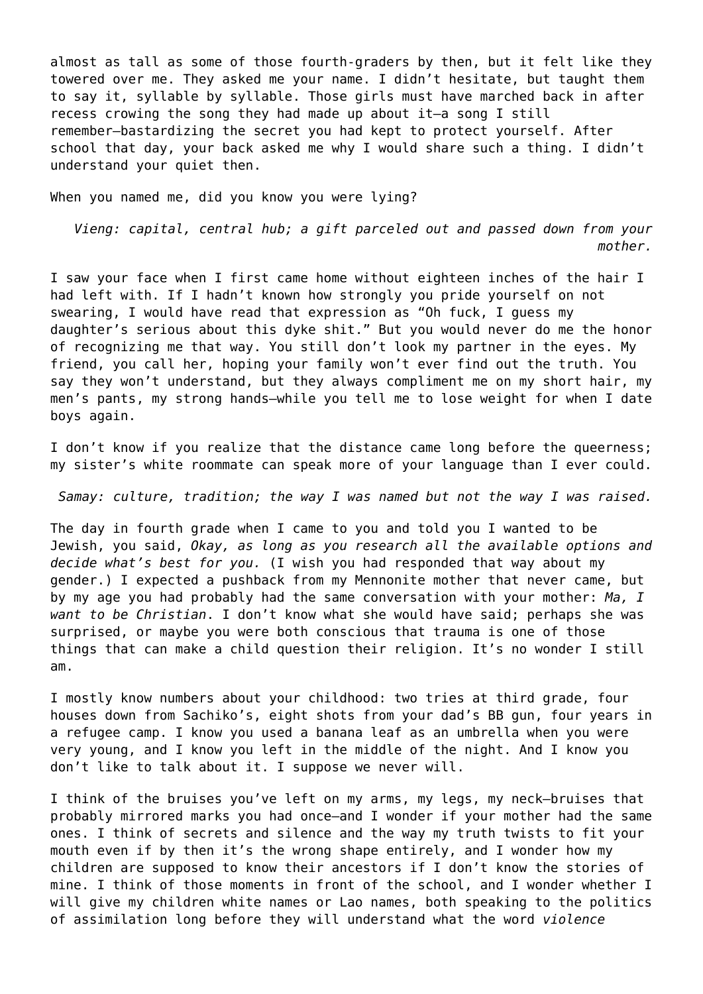almost as tall as some of those fourth-graders by then, but it felt like they towered over me. They asked me your name. I didn't hesitate, but taught them to say it, syllable by syllable. Those girls must have marched back in after recess crowing the song they had made up about it—a song I still remember—bastardizing the secret you had kept to protect yourself. After school that day, your back asked me why I would share such a thing. I didn't understand your quiet then.

When you named me, did you know you were lying?

*Vieng: capital, central hub; a gift parceled out and passed down from your mother.*

I saw your face when I first came home without eighteen inches of the hair I had left with. If I hadn't known how strongly you pride yourself on not swearing, I would have read that expression as "Oh fuck, I guess my daughter's serious about this dyke shit." But you would never do me the honor of recognizing me that way. You still don't look my partner in the eyes. My friend, you call her, hoping your family won't ever find out the truth. You say they won't understand, but they always compliment me on my short hair, my men's pants, my strong hands—while you tell me to lose weight for when I date boys again.

I don't know if you realize that the distance came long before the queerness; my sister's white roommate can speak more of your language than I ever could.

*Samay: culture, tradition; the way I was named but not the way I was raised.*

The day in fourth grade when I came to you and told you I wanted to be Jewish, you said, *Okay, as long as you research all the available options and decide what's best for you.* (I wish you had responded that way about my gender.) I expected a pushback from my Mennonite mother that never came, but by my age you had probably had the same conversation with your mother: *Ma, I want to be Christian*. I don't know what she would have said; perhaps she was surprised, or maybe you were both conscious that trauma is one of those things that can make a child question their religion. It's no wonder I still am.

I mostly know numbers about your childhood: two tries at third grade, four houses down from Sachiko's, eight shots from your dad's BB gun, four years in a refugee camp. I know you used a banana leaf as an umbrella when you were very young, and I know you left in the middle of the night. And I know you don't like to talk about it. I suppose we never will.

I think of the bruises you've left on my arms, my legs, my neck—bruises that probably mirrored marks you had once—and I wonder if your mother had the same ones. I think of secrets and silence and the way my truth twists to fit your mouth even if by then it's the wrong shape entirely, and I wonder how my children are supposed to know their ancestors if I don't know the stories of mine. I think of those moments in front of the school, and I wonder whether I will give my children white names or Lao names, both speaking to the politics of assimilation long before they will understand what the word *violence*